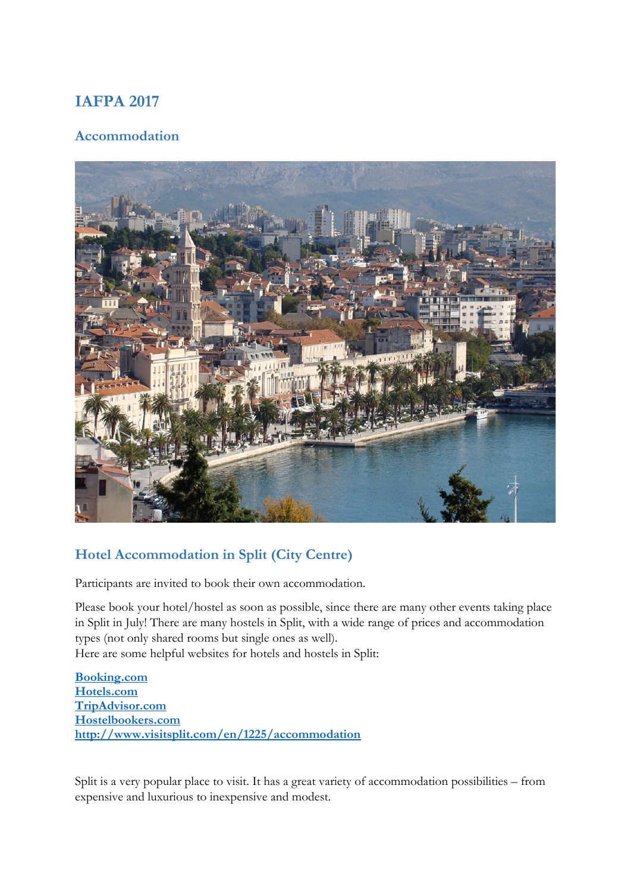# **IAFPA 2017**

# **Accommodation**



# **Hotel Accommodation in Split (City Centre)**

Participants are invited to book their own accommodation.

Please book your hotel/hostel as soon as possible, since there are many other events taking place in Split in July! There are many hostels in Split, with a wide range of prices and accommodation types (not only shared rooms but single ones as well).

Here are some helpful websites for hotels and hostels in Split:

**[Booking.com](http://www.booking.com/) [Hotels.com](http://uk.hotels.com/) [TripAdvisor.com](http://www.tripadvisor.com/Tourism-g2569734-Split_Dalmatia_County_Dalmatia-Vacations.html) [Hostelbookers.com](http://www.hostelbookers.com/) <http://www.visitsplit.com/en/1225/accommodation>**

Split is a very popular place to visit. It has a great variety of accommodation possibilities – from expensive and luxurious to inexpensive and modest.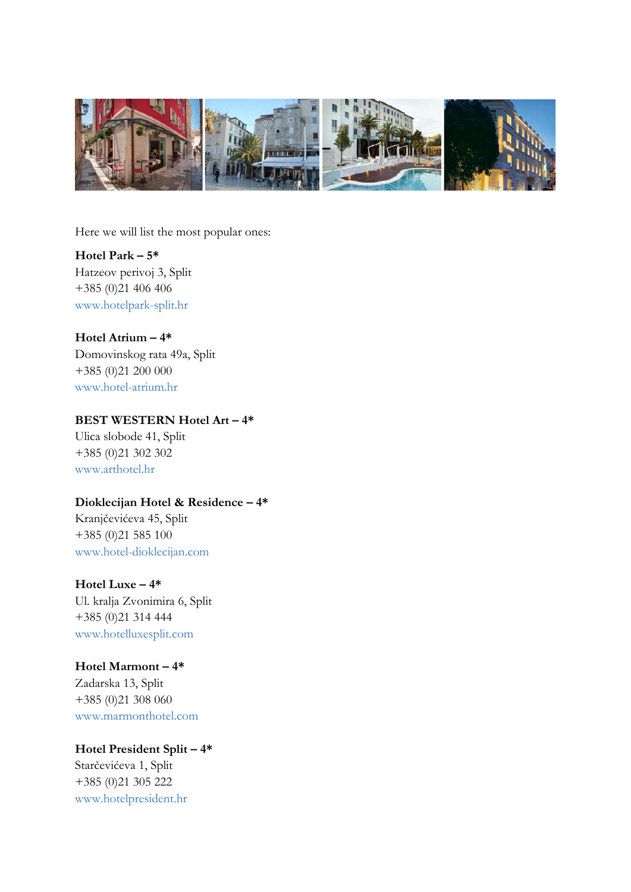

Here we will list the most popular ones:

**Hotel Park – 5\*** Hatzeov perivoj 3, Split +385 (0)21 406 406 [www.hotelpark-split.hr](http://www.hotelpark-split.hr/)

#### **Hotel Atrium – 4\***

Domovinskog rata 49a, Split +385 (0)21 200 000 [www.hotel-atrium.hr](http://www.hotel-atrium.hr/)

#### **BEST WESTERN Hotel Art – 4\***

Ulica slobode 41, Split +385 (0)21 302 302 [www.arthotel.hr](http://www.arthotel.hr/index-en.html)

#### **Dioklecijan Hotel & Residence – 4\***

Kranjčevićeva 45, Split +385 (0)21 585 100 [www.hotel-dioklecijan.com](http://www.hotel-dioklecijan.com/)

#### **Hotel Luxe – 4\***

Ul. kralja Zvonimira 6, Split +385 (0)21 314 444 [www.hotelluxesplit.com](http://www.hotelluxesplit.com/)

#### **Hotel Marmont – 4\***

Zadarska 13, Split +385 (0)21 308 060 [www.marmonthotel.com](http://www.marmonthotel.com/)

## **Hotel President Split – 4\*** Starčevićeva 1, Split +385 (0)21 305 222 [www.hotelpresident.hr](http://www.hotelpresident.hr/split/)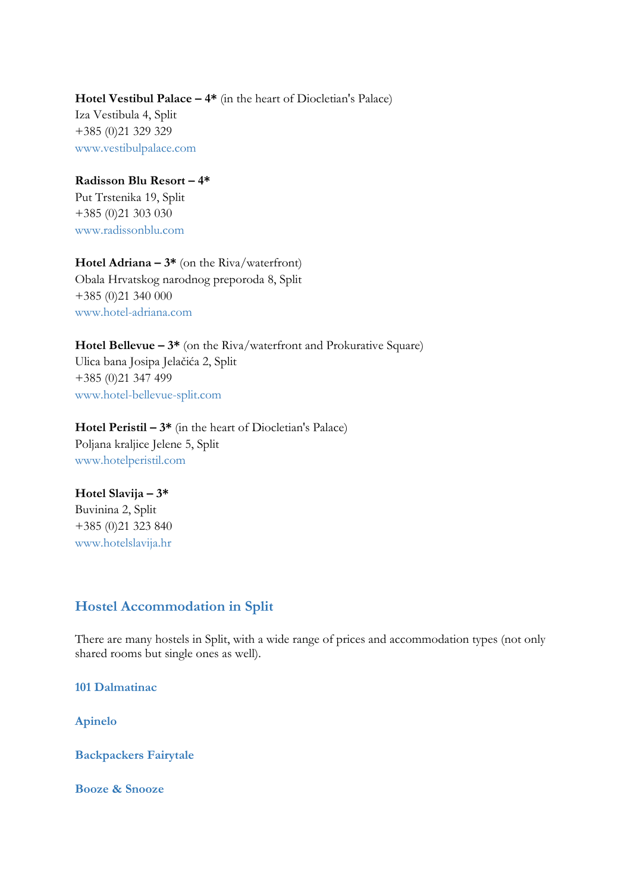### **Hotel Vestibul Palace – 4\*** (in the heart of Diocletian's Palace) Iza Vestibula 4, Split +385 (0)21 329 329 [www.vestibulpalace.com](http://www.vestibulpalace.com/)

#### **Radisson Blu Resort – 4\***

Put Trstenika 19, Split +385 (0)21 303 030 [www.radissonblu.com](http://www.radissonblu.com/resort-split)

# **Hotel Adriana – 3\*** (on the Riva/waterfront)

Obala Hrvatskog narodnog preporoda 8, Split +385 (0)21 340 000 [www.hotel-adriana.com](http://hotel-adriana.com/)

**Hotel Bellevue – 3\*** (on the Riva/waterfront and Prokurative Square) Ulica bana Josipa Jelačića 2, Split +385 (0)21 347 499 [www.hotel-bellevue-split.com](http://www.hotel-bellevue-split.com/eng/main-page)

**Hotel Peristil – 3\*** (in the heart of Diocletian's Palace) Poljana kraljice Jelene 5, Split [www.hotelperistil.com](http://www.hotelperistil.com/index.html)

#### **Hotel Slavija – 3\***

Buvinina 2, Split +385 (0)21 323 840 [www.hotelslavija.hr](http://www.hotelslavija.hr/)

## **Hostel Accommodation in Split**

There are many hostels in Split, with a wide range of prices and accommodation types (not only shared rooms but single ones as well).

**[101 Dalmatinac](http://101dalmatian.com/)**

**[Apinelo](http://www.apinelo.com/)**

**[Backpackers Fairytale](http://www.booking.com/hotel/hr/backpackers-fairytale.en-gb.html?aid=333370;label=backpackers-fairytale-HCDqvZR3D48pU6j8FWTvcAS29809421610%3Apl%3Ata%3Ap1%3Ap2%3Aac%3Aap1t2%3Aneg;sid=b304b52f55bdddcef964d46089cf48cc;dcid=4;dist=0;srfid=ba8a83ff4cb72702ed25b018e59b140f28a96382X1;type=total;ucfs=1&)**

**[Booze & Snooze](http://www.splithostel.com/hostels-booze-n-snooze.aspx)**